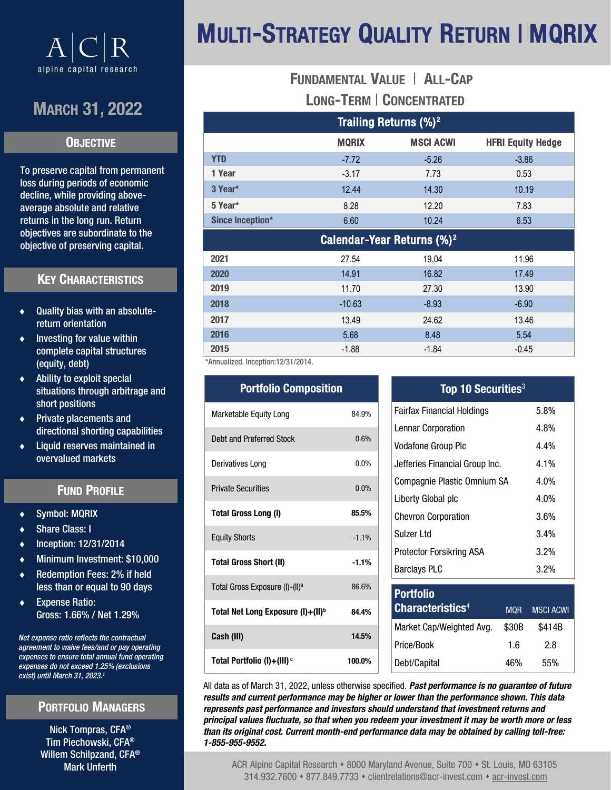

## MARCH 31, 2022

### **OBJECTIVE**

To preserve capital from permanent loss during periods of economic decline, while providing aboveaverage absolute and relative returns in the long run. Return objectives are subordinate to the objective of preserving capital.

## KEY CHARACTERISTICS

- Quality bias with an absolutereturn orientation
- Investing for value within complete capital structures (equity, debt)
- Ability to exploit special situations through arbitrage and short positions
- Private placements and directional shorting capabilities
- Liquid reserves maintained in overvalued markets

## FUND PROFILE

- Symbol: MQRIX
- Share Class: I
- Inception: 12/31/2014
- Minimum Investment: \$10,000
- Redemption Fees: 2% if held less than or equal to 90 days
- Expense Ratio: Gross: 1.66% / Net 1.29%

*Net expense ratio reflects the contractual agreement to waive fees/and or pay operating expenses to ensure total annual fund operating expenses do not exceed 1.25% (exclusions exist) until March 31, 2023.<sup>1</sup>*

## PORTFOLIO MANAGERS

Nick Tompras, CFA® Tim Piechowski, CFA® Willem Schilpzand, CFA® Mark Unferth

# MULTI-STRATEGY QUALITY RETURN | MQRIX

## FUNDAMENTAL VALUE | ALL-CAP LONG-TERM | CONCENTRATED

| Trailing Returns (%) <sup>2</sup>      |              |                  |                          |  |  |
|----------------------------------------|--------------|------------------|--------------------------|--|--|
|                                        | <b>MQRIX</b> | <b>MSCI ACWI</b> | <b>HFRI Equity Hedge</b> |  |  |
| <b>YTD</b>                             | $-7.72$      | $-5.26$          | $-3.86$                  |  |  |
| 1 Year                                 | $-3.17$      | 7.73             | 0.53                     |  |  |
| 3 Year*                                | 12.44        | 14.30            | 10.19                    |  |  |
| 5 Year*                                | 8.28         | 12.20            | 7.83                     |  |  |
| Since Inception*                       | 6.60         | 10.24            | 6.53                     |  |  |
| Calendar-Year Returns (%) <sup>2</sup> |              |                  |                          |  |  |
| 2021                                   | 27.54        | 19.04            | 11.96                    |  |  |
| 2020                                   | 14.91        | 16.82            | 17.49                    |  |  |
| 2019                                   | 11.70        | 27.30            | 13.90                    |  |  |
| 2018                                   | $-10.63$     | $-8.93$          | $-6.90$                  |  |  |
| 2017                                   | 13.49        | 24.62            | 13.46                    |  |  |
| 2016                                   | 5.68         | 8.48             | 5.54                     |  |  |
| 2015                                   | $-1.88$      | $-1.84$          | $-0.45$                  |  |  |

\*Annualized. Inception:12/31/2014.

| <b>Portfolio Composition</b>                  |          |  |
|-----------------------------------------------|----------|--|
| Marketable Equity Long                        | 84.9%    |  |
| Debt and Preferred Stock                      | 0.6%     |  |
| Derivatives Long                              | $0.0\%$  |  |
| <b>Private Securities</b>                     | 0.0%     |  |
| Total Gross Long (I)                          | 85.5%    |  |
| <b>Equity Shorts</b>                          | $-1.1%$  |  |
| <b>Total Gross Short (II)</b>                 | $-1.1\%$ |  |
| Total Gross Exposure (I)-(II) <sup>a</sup>    | 86.6%    |  |
| Total Net Long Exposure (I)+(II) <sup>b</sup> | 84.4%    |  |
| Cash (III)                                    | 14.5%    |  |
| Total Portfolio (I)+(III) <sup>c</sup>        | 100.0%   |  |

### Top 10 Securities<sup>3</sup>

| <b>Fairfax Financial Holdings</b> | 5.8%    |
|-----------------------------------|---------|
| <b>Lennar Corporation</b>         | 4.8%    |
| <b>Vodafone Group Plc</b>         | 4.4%    |
| Jefferies Financial Group Inc.    | $4.1\%$ |
| Compagnie Plastic Omnium SA       | 4.0%    |
| Liberty Global plc                | 4.0%    |
| <b>Chevron Corporation</b>        | 3.6%    |
| Sulzer Ltd                        | 3.4%    |
| Protector Forsikring ASA          | 3.2%    |
| <b>Barclays PLC</b>               | 3.2%    |

| <b>Portfolio</b><br><b>Characteristics4</b> | <b>MOR</b> | <b>MSCI ACWI</b> |
|---------------------------------------------|------------|------------------|
| Market Cap/Weighted Avg.                    | \$30B      | \$414B           |
| Price/Book                                  | 16         | 28               |
| Debt/Capital                                | 46%        | 55%              |

All data as of March 31, 2022, unless otherwise specified. *Past performance is no guarantee of future results and current performance may be higher or lower than the performance shown. This data represents past performance and investors should understand that investment returns and principal values fluctuate, so that when you redeem your investment it may be worth more or less than its original cost. Current month-end performance data may be obtained by calling toll-free: 1-855-955-9552.*

ACR Alpine Capital Research • 8000 Maryland Avenue, Suite 700 • St. Louis, MO 63105 314.932.7600 ⬧ 877.849.7733 ⬧ clientrelations@acr-invest.com ⬧ acr-[invest.com](http://www.acr-invest.com)